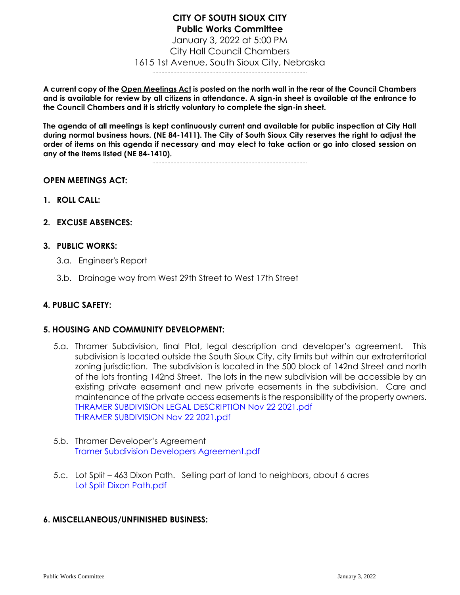## **CITY OF SOUTH SIOUX CITY Public Works Committee**  January 3, 2022 at 5:00 PM City Hall Council Chambers 1615 1st Avenue, South Sioux City, Nebraska .......................................................................................................

**A current copy of the Open Meetings Act is posted on the north wall in the rear of the Council Chambers and is available for review by all citizens in attendance. A sign-in sheet is available at the entrance to the Council Chambers and it is strictly voluntary to complete the sign-in sheet.**

**The agenda of all meetings is kept continuously current and available for public inspection at City Hall during normal business hours. (NE 84-1411). The City of South Sioux City reserves the right to adjust the order of items on this agenda if necessary and may elect to take action or go into closed session on any of the items listed (NE 84-1410).**

.......................................................................................................

## **OPEN MEETINGS ACT:**

- **1. ROLL CALL:**
- **2. EXCUSE ABSENCES:**

## **3. PUBLIC WORKS:**

- 3.a. Engineer's Report
- 3.b. Drainage way from West 29th Street to West 17th Street

## **4. PUBLIC SAFETY:**

#### **5. HOUSING AND COMMUNITY DEVELOPMENT:**

- 5.a. Thramer Subdivision, final Plat, legal description and developer's agreement. This subdivision is located outside the South Sioux City, city limits but within our extraterritorial zoning jurisdiction. The subdivision is located in the 500 block of 142nd Street and north of the lots fronting 142nd Street. The lots in the new subdivision will be accessible by an existing private easement and new private easements in the subdivision. Care and maintenance of the private access easements is the responsibility of the property owners. [THRAMER SUBDIVISION LEGAL DESCRIPTION Nov 22 2021.pdf](https://legistarweb-production.s3.amazonaws.com/uploads/attachment/pdf/1190117/THRAMER_SUBDIVISION_LEGAL_DESCRIPTION_Nov_22_2021.pdf) [THRAMER SUBDIVISION Nov 22 2021.pdf](https://legistarweb-production.s3.amazonaws.com/uploads/attachment/pdf/1190118/THRAMER_SUBDIVISION_Nov_22_2021.pdf)
- 5.b. Thramer Developer's Agreement [Tramer Subdivision Developers Agreement.pdf](https://legistarweb-production.s3.amazonaws.com/uploads/attachment/pdf/1190121/Tramer_Subdivision_Developers_Agreement.pdf)
- 5.c. Lot Split 463 Dixon Path. Selling part of land to neighbors, about 6 acres [Lot Split Dixon Path.pdf](https://legistarweb-production.s3.amazonaws.com/uploads/attachment/pdf/1190122/Lot_Split_Dixon_Path.pdf)

## **6. MISCELLANEOUS/UNFINISHED BUSINESS:**